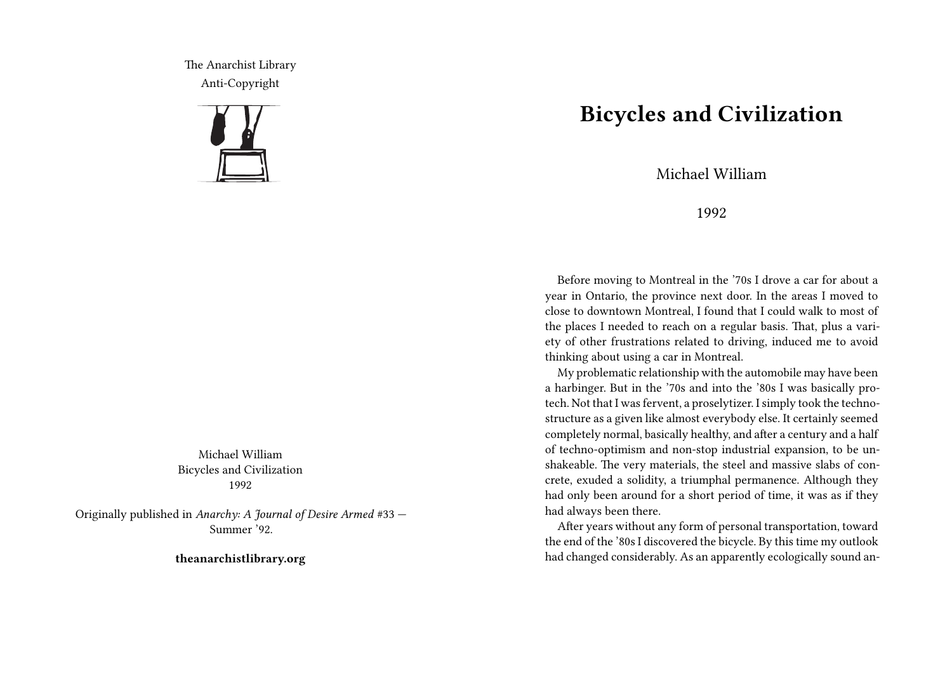The Anarchist Library Anti-Copyright



Michael William Bicycles and Civilization 1992

Originally published in *Anarchy: A Journal of Desire Armed* #33 — Summer '92.

**theanarchistlibrary.org**

## **Bicycles and Civilization**

Michael William

## 1992

Before moving to Montreal in the '70s I drove a car for about a year in Ontario, the province next door. In the areas I moved to close to downtown Montreal, I found that I could walk to most of the places I needed to reach on a regular basis. That, plus a variety of other frustrations related to driving, induced me to avoid thinking about using a car in Montreal.

My problematic relationship with the automobile may have been a harbinger. But in the '70s and into the '80s I was basically protech. Not that I was fervent, a proselytizer. I simply took the technostructure as a given like almost everybody else. It certainly seemed completely normal, basically healthy, and after a century and a half of techno-optimism and non-stop industrial expansion, to be unshakeable. The very materials, the steel and massive slabs of concrete, exuded a solidity, a triumphal permanence. Although they had only been around for a short period of time, it was as if they had always been there.

After years without any form of personal transportation, toward the end of the '80s I discovered the bicycle. By this time my outlook had changed considerably. As an apparently ecologically sound an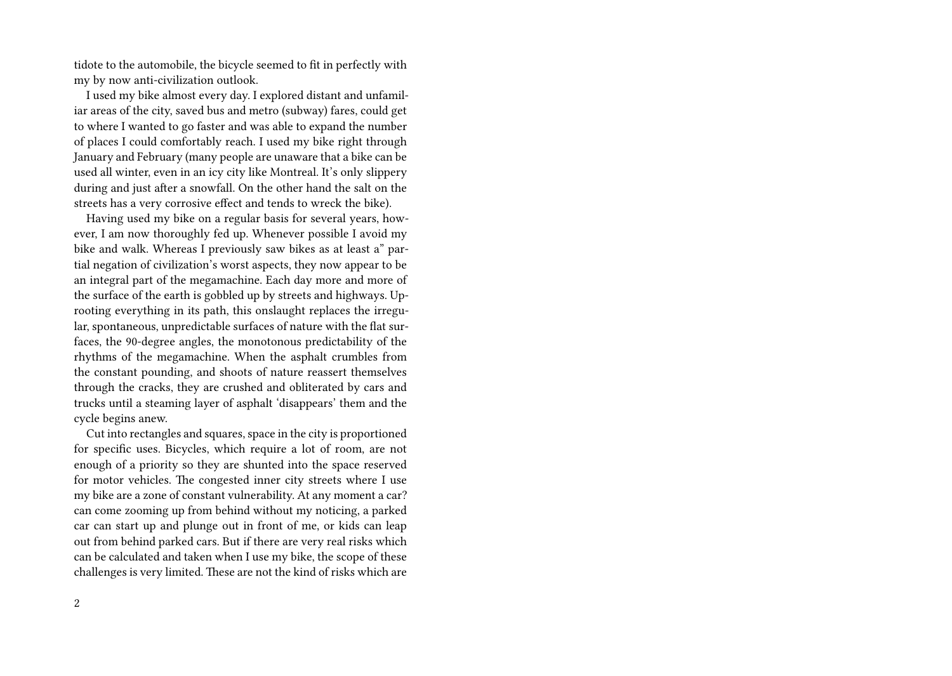tidote to the automobile, the bicycle seemed to fit in perfectly with my by now anti-civilization outlook.

I used my bike almost every day. I explored distant and unfamiliar areas of the city, saved bus and metro (subway) fares, could get to where I wanted to go faster and was able to expand the number of places I could comfortably reach. I used my bike right through January and February (many people are unaware that a bike can be used all winter, even in an icy city like Montreal. It's only slippery during and just after a snowfall. On the other hand the salt on the streets has a very corrosive effect and tends to wreck the bike).

Having used my bike on a regular basis for several years, however, I am now thoroughly fed up. Whenever possible I avoid my bike and walk. Whereas I previously saw bikes as at least a" partial negation of civilization's worst aspects, they now appear to be an integral part of the megamachine. Each day more and more of the surface of the earth is gobbled up by streets and highways. Uprooting everything in its path, this onslaught replaces the irregular, spontaneous, unpredictable surfaces of nature with the flat surfaces, the 90-degree angles, the monotonous predictability of the rhythms of the megamachine. When the asphalt crumbles from the constant pounding, and shoots of nature reassert themselves through the cracks, they are crushed and obliterated by cars and trucks until a steaming layer of asphalt 'disappears' them and the cycle begins anew.

Cut into rectangles and squares, space in the city is proportioned for specific uses. Bicycles, which require a lot of room, are not enough of a priority so they are shunted into the space reserved for motor vehicles. The congested inner city streets where I use my bike are a zone of constant vulnerability. At any moment a car? can come zooming up from behind without my noticing, a parked car can start up and plunge out in front of me, or kids can leap out from behind parked cars. But if there are very real risks which can be calculated and taken when I use my bike, the scope of these challenges is very limited. These are not the kind of risks which are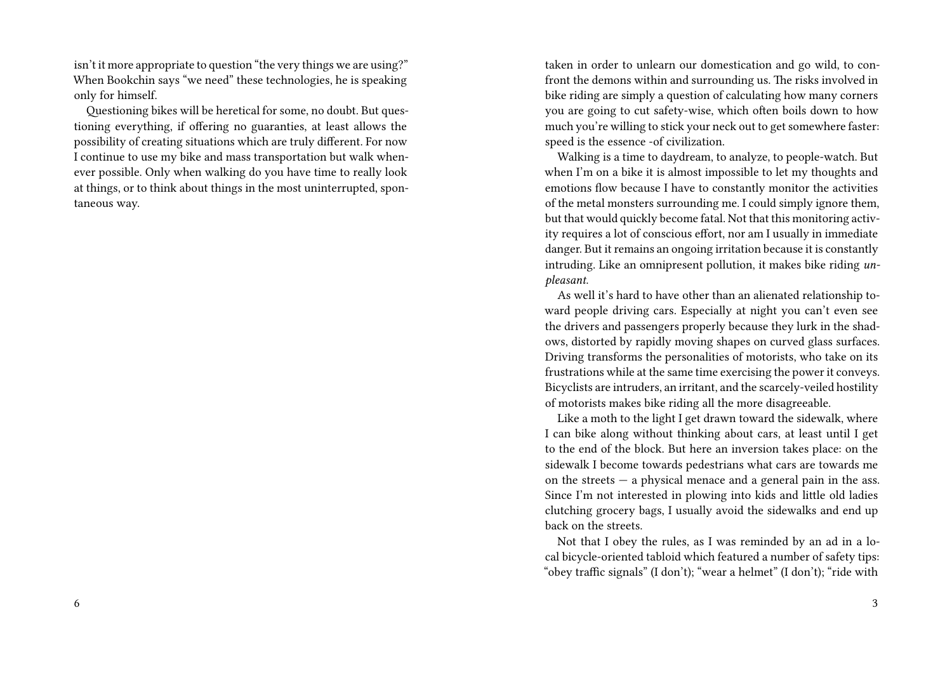isn't it more appropriate to question "the very things we are using?" When Bookchin says "we need" these technologies, he is speaking only for himself.

Questioning bikes will be heretical for some, no doubt. But questioning everything, if offering no guaranties, at least allows the possibility of creating situations which are truly different. For now I continue to use my bike and mass transportation but walk whenever possible. Only when walking do you have time to really look at things, or to think about things in the most uninterrupted, spontaneous way.

taken in order to unlearn our domestication and go wild, to confront the demons within and surrounding us. The risks involved in bike riding are simply a question of calculating how many corners you are going to cut safety-wise, which often boils down to how much you're willing to stick your neck out to get somewhere faster: speed is the essence -of civilization.

Walking is a time to daydream, to analyze, to people-watch. But when I'm on a bike it is almost impossible to let my thoughts and emotions flow because I have to constantly monitor the activities of the metal monsters surrounding me. I could simply ignore them, but that would quickly become fatal. Not that this monitoring activity requires a lot of conscious effort, nor am I usually in immediate danger. But it remains an ongoing irritation because it is constantly intruding. Like an omnipresent pollution, it makes bike riding *unpleasant*.

As well it's hard to have other than an alienated relationship toward people driving cars. Especially at night you can't even see the drivers and passengers properly because they lurk in the shadows, distorted by rapidly moving shapes on curved glass surfaces. Driving transforms the personalities of motorists, who take on its frustrations while at the same time exercising the power it conveys. Bicyclists are intruders, an irritant, and the scarcely-veiled hostility of motorists makes bike riding all the more disagreeable.

Like a moth to the light I get drawn toward the sidewalk, where I can bike along without thinking about cars, at least until I get to the end of the block. But here an inversion takes place: on the sidewalk I become towards pedestrians what cars are towards me on the streets — a physical menace and a general pain in the ass. Since I'm not interested in plowing into kids and little old ladies clutching grocery bags, I usually avoid the sidewalks and end up back on the streets.

Not that I obey the rules, as I was reminded by an ad in a local bicycle-oriented tabloid which featured a number of safety tips: "obey traffic signals" (I don't); "wear a helmet" (I don't); "ride with